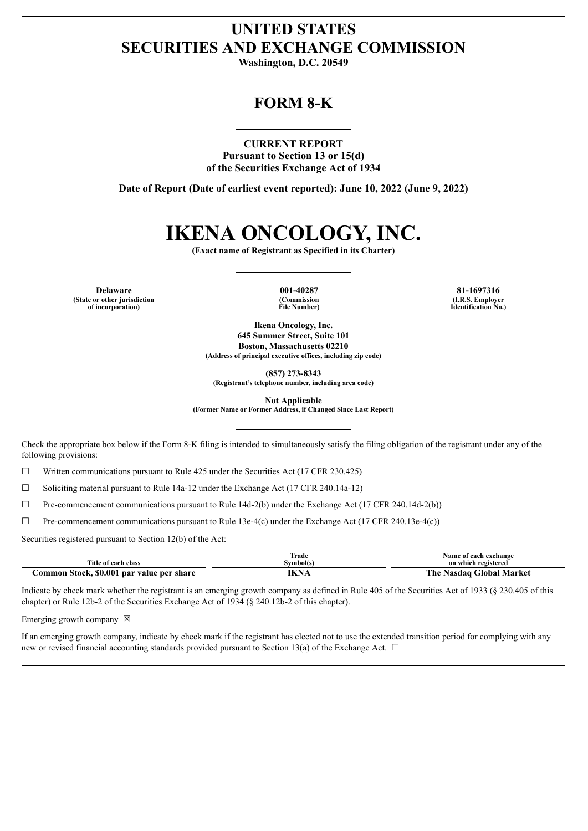## **UNITED STATES SECURITIES AND EXCHANGE COMMISSION**

**Washington, D.C. 20549**

## **FORM 8-K**

### **CURRENT REPORT**

**Pursuant to Section 13 or 15(d) of the Securities Exchange Act of 1934**

**Date of Report (Date of earliest event reported): June 10, 2022 (June 9, 2022)**

# **IKENA ONCOLOGY, INC.**

**(Exact name of Registrant as Specified in its Charter)**

**Delaware 001-40287 81-1697316 (State or other jurisdiction of incorporation)**

**(Commission File Number)**

**(I.R.S. Employer Identification No.)**

**Ikena Oncology, Inc. 645 Summer Street, Suite 101 Boston, Massachusetts 02210 (Address of principal executive offices, including zip code)**

**(857) 273-8343**

**(Registrant's telephone number, including area code)**

**Not Applicable**

**(Former Name or Former Address, if Changed Since Last Report)**

Check the appropriate box below if the Form 8-K filing is intended to simultaneously satisfy the filing obligation of the registrant under any of the following provisions:

 $\Box$  Written communications pursuant to Rule 425 under the Securities Act (17 CFR 230.425)

☐ Soliciting material pursuant to Rule 14a-12 under the Exchange Act (17 CFR 240.14a-12)

 $\Box$  Pre-commencement communications pursuant to Rule 14d-2(b) under the Exchange Act (17 CFR 240.14d-2(b))

☐ Pre-commencement communications pursuant to Rule 13e-4(c) under the Exchange Act (17 CFR 240.13e-4(c))

Securities registered pursuant to Section 12(b) of the Act:

|                                           | Trade     | Name of each exchange    |
|-------------------------------------------|-----------|--------------------------|
| Title of each class                       | Svmbol(s) | on which registered      |
| Common Stock, \$0.001 par value per share | IKNA      | The Nasdaq Global Market |

Indicate by check mark whether the registrant is an emerging growth company as defined in Rule 405 of the Securities Act of 1933 (§ 230.405 of this chapter) or Rule 12b-2 of the Securities Exchange Act of 1934 (§ 240.12b-2 of this chapter).

Emerging growth company  $\boxtimes$ 

If an emerging growth company, indicate by check mark if the registrant has elected not to use the extended transition period for complying with any new or revised financial accounting standards provided pursuant to Section 13(a) of the Exchange Act.  $\Box$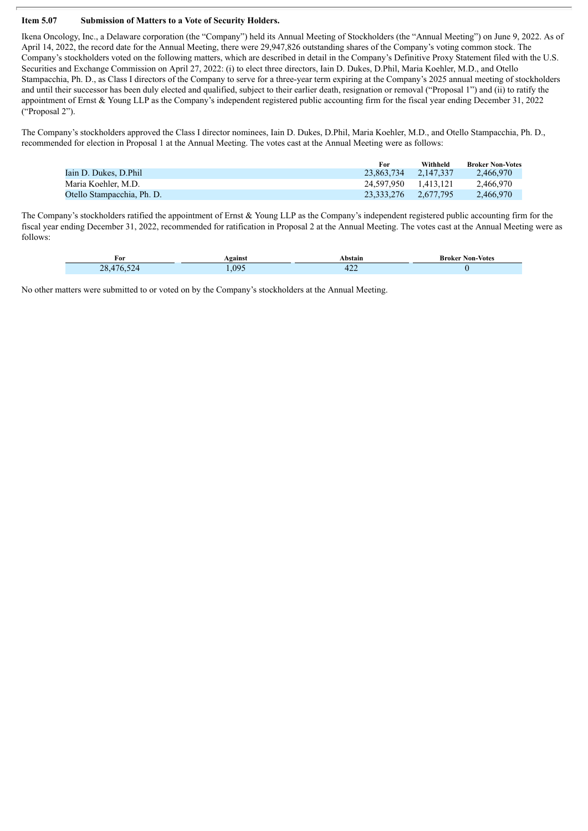#### **Item 5.07 Submission of Matters to a Vote of Security Holders.**

Г

Ikena Oncology, Inc., a Delaware corporation (the "Company") held its Annual Meeting of Stockholders (the "Annual Meeting") on June 9, 2022. As of April 14, 2022, the record date for the Annual Meeting, there were 29,947,826 outstanding shares of the Company's voting common stock. The Company's stockholders voted on the following matters, which are described in detail in the Company's Definitive Proxy Statement filed with the U.S. Securities and Exchange Commission on April 27, 2022: (i) to elect three directors, Iain D. Dukes, D.Phil, Maria Koehler, M.D., and Otello Stampacchia, Ph. D., as Class I directors of the Company to serve for a three-year term expiring at the Company's 2025 annual meeting of stockholders and until their successor has been duly elected and qualified, subject to their earlier death, resignation or removal ("Proposal 1") and (ii) to ratify the appointment of Ernst & Young LLP as the Company's independent registered public accounting firm for the fiscal year ending December 31, 2022 ("Proposal 2").

The Company's stockholders approved the Class I director nominees, Iain D. Dukes, D.Phil, Maria Koehler, M.D., and Otello Stampacchia, Ph. D., recommended for election in Proposal 1 at the Annual Meeting. The votes cast at the Annual Meeting were as follows:

|                            | For        | Withheld  | <b>Broker Non-Votes</b> |
|----------------------------|------------|-----------|-------------------------|
| Iain D. Dukes. D.Phil      | 23.863.734 | 2.147.337 | 2.466.970               |
| Maria Koehler, M.D.        | 24.597.950 | 1.413.121 | 2.466.970               |
| Otello Stampacchia, Ph. D. | 23.333.276 | 2.677.795 | 2,466,970               |

The Company's stockholders ratified the appointment of Ernst & Young LLP as the Company's independent registered public accounting firm for the fiscal year ending December 31, 2022, recommended for ratification in Proposal 2 at the Annual Meeting. The votes cast at the Annual Meeting were as follows:

| For                  | <b>gainst</b> | Abstain       | <b>Broker Non-Votes</b> |
|----------------------|---------------|---------------|-------------------------|
| 176<br>$\sim$<br>28. | .095          | $\sim$<br>т∠∠ |                         |

No other matters were submitted to or voted on by the Company's stockholders at the Annual Meeting.